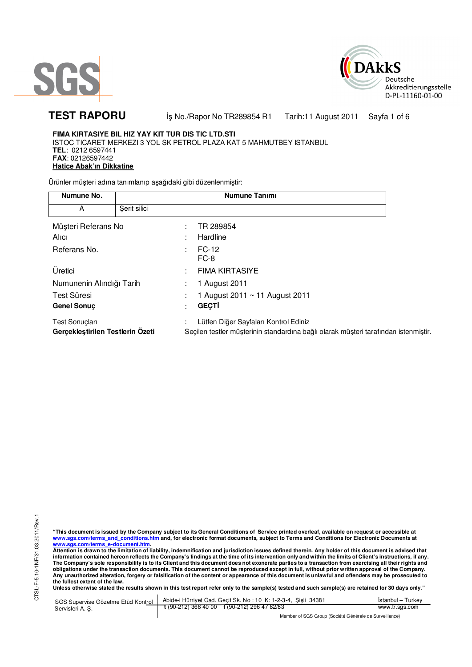



TEST RAPORU **By No./Rapor No TR289854 R1 Tarih:11 August 2011** Sayfa 1 of 6

# **FIMA KIRTASIYE BIL HIZ YAY KIT TUR DIS TIC LTD.STI**

ISTOC TICARET MERKEZI 3 YOL SK PETROL PLAZA KAT 5 MAHMUTBEY ISTANBUL **TEL**: 0212 6597441 **FAX**: 02126597442 **Hatice Abak'ın Dikkatine** 

Ürünler müşteri adına tanımlanıp aşağıdaki gibi düzenlenmiştir:

| Numune No.                                                |              | <b>Numune Tanımı</b>                                                                                                         |  |  |
|-----------------------------------------------------------|--------------|------------------------------------------------------------------------------------------------------------------------------|--|--|
| A                                                         | Şerit silici |                                                                                                                              |  |  |
| Müşteri Referans No                                       |              | TR 289854                                                                                                                    |  |  |
| Alici                                                     |              | Hardline                                                                                                                     |  |  |
| Referans No.                                              |              | FC-12<br>FC-8                                                                                                                |  |  |
| Üretici                                                   |              | <b>FIMA KIRTASIYE</b>                                                                                                        |  |  |
| Numunenin Alındığı Tarih                                  |              | 1 August 2011                                                                                                                |  |  |
| Test Süresi<br><b>Genel Sonuc</b>                         |              | 1 August 2011 ~ 11 August 2011<br><b>GEÇTİ</b><br>$\bullet$                                                                  |  |  |
| <b>Test Sonuçları</b><br>Gerçekleştirilen Testlerin Özeti |              | Lütfen Diğer Sayfaları Kontrol Ediniz<br>Seçilen testler müşterinin standardına bağlı olarak müşteri tarafından istenmiştir. |  |  |

CTSL-F-5.10-1NF/31.03.2011/Rev.1 CTSL-F-5.10-1NF/31.03.2011/Rev.1

"This document is issued by the Company subject to its General Conditions of Service printed overleaf, available on request or accessible at<br>www.sgs.com/terms\_and\_conditions.htm\_and, for electronic format documents, subjec <mark>www.sgs.com/terms\_e-document.htm.</mark><br>Attention is drawn to the limitation of liability, indemnification and jurisdiction issues defined therein. Any holder of this document is advised that

information contained hereon reflects the Company's findings at the time of its intervention only and within the limits of Client's instructions, if any.<br>The Company's sole responsibility is to its Client and this document **obligations under the transaction documents. This document cannot be reproduced except in full, without prior written approval of the Company. Any unauthorized alteration, forgery or falsification of the content or appearance of this document is unlawful and offenders may be prosecuted to the fullest extent of the law.** 

**Unless otherwise stated the results shown in this test report refer only to the sample(s) tested and such sample(s) are retained for 30 days only."** 

SGS Supervise Gözetme Etüd Kontrol Servisleri A. Ş. Abide-i Hürriyet Cad. Geçit Sk. No : 10 K: 1-2-3-4, Şişli 34381 **t** (90-212) 368 40 00 **f** (90-212) 296 47 82/83 İstanbul – Turkey www.tr.sgs.com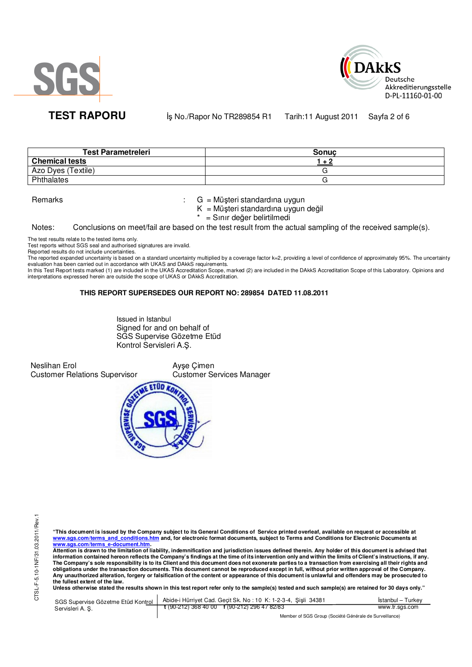



**TEST RAPORU** iş No./Rapor No TR289854 R1 Tarih:11 August 2011 Sayfa 2 of 6

| <b>Test Parametreleri</b> | Sonuc |
|---------------------------|-------|
| <b>Chemical tests</b>     |       |
| Azo Dyes (Textile)        |       |
| Phthalates                |       |

Remarks : G = Müşteri standardına uygun

K = Müşteri standardına uygun değil

= Sınır değer belirtilmedi

Notes: Conclusions on meet/fail are based on the test result from the actual sampling of the received sample(s).

The test results relate to the tested items only.

Test reports without SGS seal and authorised signatures are invalid.

Reported results do not include uncertainties.

The reported expanded uncertainty is based on a standard uncertainty multiplied by a coverage factor k=2, providing a level of confidence of approximately 95%. The uncertainty evaluation has been carried out in accordance with UKAS and DAkkS requirements.

In this Test Report tests marked (1) are included in the UKAS Accreditation Scope, marked (2) are included in the DAkkS Accreditation Scope of this Laboratory. Opinions and interpretations expressed herein are outside the scope of UKAS or DAkkS Accreditation.

### **THIS REPORT SUPERSEDES OUR REPORT NO: 289854 DATED 11.08.2011**

Issued in Istanbul Signed for and on behalf of SGS Supervise Gözetme Etüd Kontrol Servisleri A.Ş.

Neslihan Erol Customer Relations Supervisor Ayşe Çimen Customer Services Manager



"This document is issued by the Company subject to its General Conditions of Service printed overleaf, available on request or accessible at<br>www.sgs.com/terms\_and\_conditions.htm\_and, for electronic format documents, subjec

<mark>www.sgs.com/terms\_e-document.htm.</mark><br>Attention is drawn to the limitation of liability, indemnification and jurisdiction issues defined therein. Any holder of this document is advised that information contained hereon reflects the Company's findings at the time of its intervention only and within the limits of Client's instructions, if any.<br>The Company's sole responsibility is to its Client and this document **obligations under the transaction documents. This document cannot be reproduced except in full, without prior written approval of the Company. Any unauthorized alteration, forgery or falsification of the content or appearance of this document is unlawful and offenders may be prosecuted to the fullest extent of the law.** 

Unless otherwise stated the results shown in this test report refer only to the sample(s) tested and such sample(s) are retained for 30 days only."

| SGS Supervise Gözetme Etüd Kontrol | Abide-i Hürriyet Cad. Gecit Sk. No: 10 K: 1-2-3-4, Sisli 34381 | İstanbul – Turkev |
|------------------------------------|----------------------------------------------------------------|-------------------|
| Servisleri A. Ş.                   | $\frac{1}{2}$ (90-212) 368 40 00 f (90-212) 296 47 82/83       | www.tr.sgs.com    |
|                                    | Member of SGS Group (Société Générale de Surveillance)         |                   |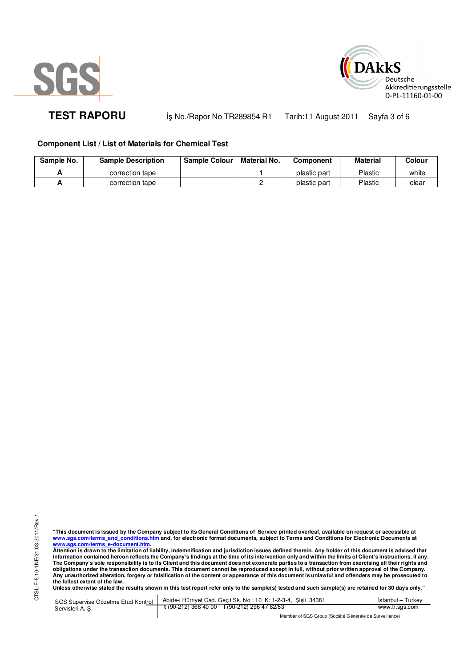



TEST RAPORU **By No./Rapor No TR289854 R1 Tarih:11 August 2011** Sayfa 3 of 6

# **Component List / List of Materials for Chemical Test**

| Sample No. | <b>Sample Description</b> | <b>Sample Colour</b> | Material No. | Component    | Material | Colour |
|------------|---------------------------|----------------------|--------------|--------------|----------|--------|
|            | correction tape           |                      |              | plastic part | Plastic  | white  |
|            | correction tape           |                      |              | plastic part | Plastic  | clear  |

"This document is issued by the Company subject to its General Conditions of Service printed overleaf, available on request or accessible at<br>www.sgs.com/terms\_and\_conditions.htm\_and, for electronic format documents, subjec <mark>www.sgs.com/terms\_e-document.htm.</mark><br>Attention is drawn to the limitation of liability, indemnification and jurisdiction issues defined therein. Any holder of this document is advised that

information contained hereon reflects the Company's findings at the time of its intervention only and within the limits of Client's instructions, if any.<br>The Company's sole responsibility is to its Client and this document **obligations under the transaction documents. This document cannot be reproduced except in full, without prior written approval of the Company. Any unauthorized alteration, forgery or falsification of the content or appearance of this document is unlawful and offenders may be prosecuted to the fullest extent of the law.** 

**Unless otherwise stated the results shown in this test report refer only to the sample(s) tested and such sample(s) are retained for 30 days only."** 

SGS Supervise Gözetme Etüd Kontrol Servisleri A. Ş. Abide-i Hürriyet Cad. Geçit Sk. No : 10 K: 1-2-3-4, Şişli 34381 **t** (90-212) 368 40 00 **f** (90-212) 296 47 82/83 İstanbul – Turkey www.tr.sgs.com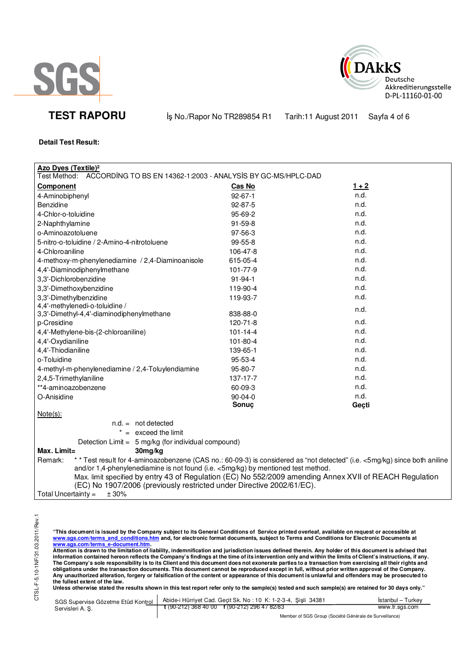



**TEST RAPORU By No./Rapor No TR289854 R1 Farih:11 August 2011** Sayfa 4 of 6

## **Detail Test Result:**

| <b>Azo Dyes (Textile)<sup>2</sup></b><br>ACCORDING TO BS EN 14362-1:2003 - ANALYSIS BY GC-MS/HPLC-DAD                                 |                |         |  |
|---------------------------------------------------------------------------------------------------------------------------------------|----------------|---------|--|
| Test Method:                                                                                                                          |                |         |  |
| <b>Component</b>                                                                                                                      | Cas No         | $1 + 2$ |  |
| 4-Aminobiphenyl                                                                                                                       | $92 - 67 - 1$  | n.d.    |  |
| Benzidine                                                                                                                             | 92-87-5        | n.d.    |  |
| 4-Chlor-o-toluidine                                                                                                                   | 95-69-2        | n.d.    |  |
| 2-Naphthylamine                                                                                                                       | $91 - 59 - 8$  | n.d.    |  |
| o-Aminoazotoluene                                                                                                                     | 97-56-3        | n.d.    |  |
| 5-nitro-o-toluidine / 2-Amino-4-nitrotoluene                                                                                          | 99-55-8        | n.d.    |  |
| 4-Chloroaniline                                                                                                                       | 106-47-8       | n.d.    |  |
| 4-methoxy-m-phenylenediamine / 2,4-Diaminoanisole                                                                                     | 615-05-4       | n.d.    |  |
| 4,4'-Diaminodiphenylmethane                                                                                                           | 101-77-9       | n.d.    |  |
| 3,3'-Dichlorobenzidine                                                                                                                | $91 - 94 - 1$  | n.d.    |  |
| 3,3'-Dimethoxybenzidine                                                                                                               | 119-90-4       | n.d.    |  |
| 3,3'-Dimethylbenzidine                                                                                                                | 119-93-7       | n.d.    |  |
| 4,4'-methylenedi-o-toluidine /                                                                                                        |                | n.d.    |  |
| 3,3'-Dimethyl-4,4'-diaminodiphenylmethane                                                                                             | 838-88-0       |         |  |
| p-Cresidine                                                                                                                           | 120-71-8       | n.d.    |  |
| 4,4'-Methylene-bis-(2-chloroaniline)                                                                                                  | $101 - 14 - 4$ | n.d.    |  |
| 4,4'-Oxydianiline                                                                                                                     | 101-80-4       | n.d.    |  |
| 4,4'-Thiodianiline                                                                                                                    | 139-65-1       | n.d.    |  |
| o-Toluidine                                                                                                                           | 95-53-4        | n.d.    |  |
| 4-methyl-m-phenylenediamine / 2,4-Toluylendiamine                                                                                     | 95-80-7        | n.d.    |  |
| 2,4,5-Trimethylaniline                                                                                                                | 137-17-7       | n.d.    |  |
| **4-aminoazobenzene                                                                                                                   | 60-09-3        | n.d.    |  |
| O-Anisidine                                                                                                                           | $90 - 04 - 0$  | n.d.    |  |
|                                                                                                                                       | Sonuç          | Geçti   |  |
| $Note(s)$ :                                                                                                                           |                |         |  |
| $n.d. = not detected$                                                                                                                 |                |         |  |
| $* =$ exceed the limit                                                                                                                |                |         |  |
| Detection Limit = 5 mg/kg (for individual compound)                                                                                   |                |         |  |
| $Max.$ Limit=<br>30mg/kg                                                                                                              |                |         |  |
| * * Test result for 4-aminoazobenzene (CAS no.: 60-09-3) is considered as "not detected" (i.e. <5mg/kg) since both aniline<br>Remark: |                |         |  |
| and/or 1,4-phenylenediamine is not found (i.e. <5mg/kg) by mentioned test method.                                                     |                |         |  |
| Max. limit specified by entry 43 of Regulation (EC) No 552/2009 amending Annex XVII of REACH Regulation                               |                |         |  |
| (EC) No 1907/2006 (previously restricted under Directive 2002/61/EC).                                                                 |                |         |  |
| Total Uncertainty $=$<br>± 30%                                                                                                        |                |         |  |

CTSL-F-5.10-1NF/31.03.2011/Rev.1 CTSL-F-5.10-1NF/31.03.2011/Rev.1

"This document is issued by the Company subject to its General Conditions of Service printed overleaf, available on request or accessible at<br>www.sgs.com/terms\_and\_conditions.htm\_and, for electronic format documents, subjec

<u>www.sgs.com/terms\_e-document.htm.</u><br>Attention is drawn to the limitation of liability, indemnification and jurisdiction issues defined therein. Any holder of this document is advised that<br>information contained hereon refle obligations under the transaction documents. This document cannot be reproduced except in full, without prior written approval of the Company.<br>Any unauthorized alteration, forgery or falsification of the content or appeara

**Unless otherwise stated the results shown in this test report refer only to the sample(s) tested and such sample(s) are retained for 30 days only."** 

| SGS Supervise Gözetme Etüd Kontrol | Abide-i Hürriyet Cad. Gecit Sk. No: 10 K: 1-2-3-4, Sisli 34381 | Istanbul – Turkev                                      |  |
|------------------------------------|----------------------------------------------------------------|--------------------------------------------------------|--|
| Servisleri A. S.                   | $\frac{1}{2}$ (90-212) 368 40 00 f (90-212) 296 47 82/83       | www.tr.sgs.com                                         |  |
|                                    |                                                                | Member of SGS Group (Société Générale de Surveillance) |  |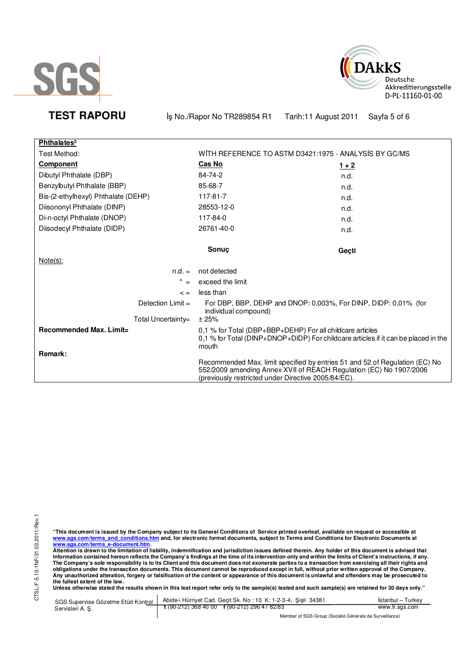



**TEST RAPORU** iş No./Rapor No TR289854 R1 Tarih:11 August 2011 Sayfa 5 of 6

| Phthalates <sup>2</sup>             |                                                                                                                                                                                                          |         |
|-------------------------------------|----------------------------------------------------------------------------------------------------------------------------------------------------------------------------------------------------------|---------|
| Test Method:                        | WITH REFERENCE TO ASTM D3421:1975 - ANALYSIS BY GC/MS                                                                                                                                                    |         |
| <b>Component</b>                    | Cas No                                                                                                                                                                                                   | $1 + 2$ |
| Dibutyl Phthalate (DBP)             | 84-74-2                                                                                                                                                                                                  | n.d.    |
| Benzylbutyl Phthalate (BBP)         | 85-68-7                                                                                                                                                                                                  | n.d.    |
| Bis-(2-ethylhexyl) Phthalate (DEHP) | 117-81-7                                                                                                                                                                                                 | n.d.    |
| Diisononyl Phthalate (DINP)         | 28553-12-0                                                                                                                                                                                               | n.d.    |
| Di-n-octyl Phthalate (DNOP)         | 117-84-0                                                                                                                                                                                                 | n.d.    |
| Diisodecyl Phthalate (DIDP)         | 26761-40-0                                                                                                                                                                                               | n.d.    |
|                                     |                                                                                                                                                                                                          |         |
|                                     | <b>Sonuc</b>                                                                                                                                                                                             | Geçti   |
| $Note(s)$ :                         |                                                                                                                                                                                                          |         |
| $n.d. =$                            | not detected                                                                                                                                                                                             |         |
| $\star$                             | exceed the limit                                                                                                                                                                                         |         |
| $\leq$ =                            | less than                                                                                                                                                                                                |         |
| Detection $Limit =$                 | For DBP, BBP, DEHP and DNOP: 0,003%, For DINP, DIDP: 0,01% (for<br>individual compound)                                                                                                                  |         |
| Total Uncertainty=                  | ± 25%                                                                                                                                                                                                    |         |
| Recommended Max. Limit=<br>Remark:  | 0,1 % for Total (DBP+BBP+DEHP) For all childcare articles<br>0,1 % for Total (DINP+DNOP+DIDP) For childcare articles if it can be placed in the<br>mouth                                                 |         |
|                                     | Recommended Max. limit specified by entries 51 and 52 of Regulation (EC) No<br>552/2009 amending Annex XVII of REACH Regulation (EC) No 1907/2006<br>(previously restricted under Directive 2005/84/EC). |         |

"This document is issued by the Company subject to its General Conditions of Service printed overleaf, available on request or accessible at<br>www.sgs.com/terms\_and\_conditions.htm\_and, for electronic format documents, subjec

<u>www.sgs.com/terms\_e-document.htm.</u><br>Attention is drawn to the limitation of liability, indemnification and jurisdiction issues defined therein. Any holder of this document is advised that<br>information contained hereon refle obligations under the transaction documents. This document cannot be reproduced except in full, without prior written approval of the Company.<br>Any unauthorized alteration, forgery or falsification of the content or appeara

**Unless otherwise stated the results shown in this test report refer only to the sample(s) tested and such sample(s) are retained for 30 days only."** 

|                  | SGS Supervise Gözetme Etüd Kontrol   Abide-i Hürriyet Cad. Geçit Sk. No: 10 K: 1-2-3-4, Şişli 34381                 | Istanbul – Turkev |
|------------------|---------------------------------------------------------------------------------------------------------------------|-------------------|
| Servisleri A. S. | $\frac{1}{2}$ (90-212) 368 40 00 f (90-212) 296 47 82/83                                                            | www.tr.sgs.com    |
|                  | $M_{\odot}$ . The set of $\Omega$ and $\Omega$ is the set of $\Omega$ is the set of $\Omega$ is the set of $\Omega$ |                   |